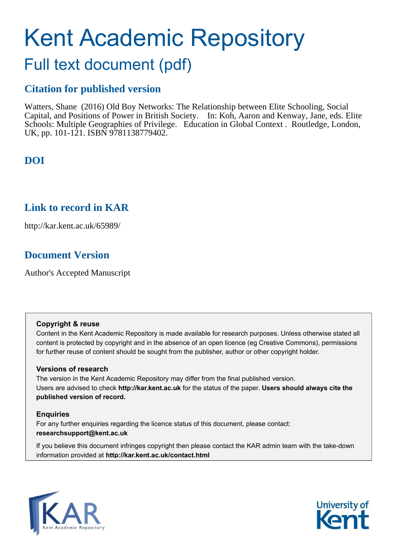# Kent Academic Repository

## Full text document (pdf)

## **Citation for published version**

Watters, Shane (2016) Old Boy Networks: The Relationship between Elite Schooling, Social Capital, and Positions of Power in British Society. In: Koh, Aaron and Kenway, Jane, eds. Elite Schools: Multiple Geographies of Privilege. Education in Global Context . Routledge, London, UK, pp. 101-121. ISBN 9781138779402.

## **DOI**

## **Link to record in KAR**

http://kar.kent.ac.uk/65989/

## **Document Version**

Author's Accepted Manuscript

### **Copyright & reuse**

Content in the Kent Academic Repository is made available for research purposes. Unless otherwise stated all content is protected by copyright and in the absence of an open licence (eg Creative Commons), permissions for further reuse of content should be sought from the publisher, author or other copyright holder.

### **Versions of research**

The version in the Kent Academic Repository may differ from the final published version. Users are advised to check **http://kar.kent.ac.uk** for the status of the paper. **Users should always cite the published version of record.**

### **Enquiries**

For any further enquiries regarding the licence status of this document, please contact: **researchsupport@kent.ac.uk**

If you believe this document infringes copyright then please contact the KAR admin team with the take-down information provided at **http://kar.kent.ac.uk/contact.html**



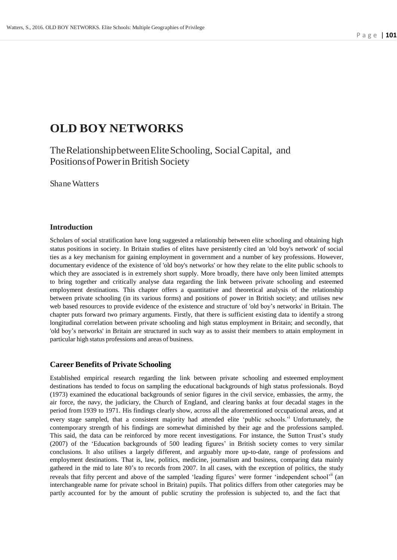## **OLD BOY NETWORKS**

The Relationship between Elite Schooling, Social Capital, and Positions of Power in British Society

Shane Watters

#### **Introduction**

Scholars of social stratification have long suggested a relationship between elite schooling and obtaining high status positions in society. In Britain studies of elites have persistently cited an 'old boy's network' of social ties as a key mechanism for gaining employment in government and a number of key professions. However, documentary evidence of the existence of 'old boy's networks' or how they relate to the elite public schools to which they are associated is in extremely short supply. More broadly, there have only been limited attempts to bring together and critically analyse data regarding the link between private schooling and esteemed employment destinations. This chapter offers a quantitative and theoretical analysis of the relationship between private schooling (in its various forms) and positions of power in British society; and utilises new web based resources to provide evidence of the existence and structure of 'old boy's networks' in Britain. The chapter puts forward two primary arguments. Firstly, that there is sufficient existing data to identify a strong longitudinal correlation between private schooling and high status employment in Britain; and secondly, that 'old boy's networks' in Britain are structured in such way as to assist their members to attain employment in particular high status professions and areas of business.

#### **Career Benefits of Private Schooling**

Established empirical research regarding the link between private schooling and esteemed employment destinations has tended to focus on sampling the educational backgrounds of high status professionals. Boyd (1973) examined the educational backgrounds of senior figures in the civil service, embassies, the army, the air force, the navy, the judiciary, the Church of England, and clearing banks at four decadal stages in the period from 1939 to 1971. His findings clearly show, across all the aforementioned occupational areas, and at every stage sampled, that a consistent majority had attended elite 'public schools.'<sup>i</sup> Unfortunately, the contemporary strength of his findings are somewhat diminished by their age and the professions sampled. This said, the data can be reinforced by more recent investigations. For instance, the Sutton Trust's study (2007) of the 'Education backgrounds of 500 leading figures' in British society comes to very similar conclusions. It also utilises a largely different, and arguably more up-to-date, range of professions and employment destinations. That is, law, politics, medicine, journalism and business, comparing data mainly gathered in the mid to late 80's to records from 2007. In all cases, with the exception of politics, the study reveals that fifty percent and above of the sampled 'leading figures' were former 'independent school'<sup>ii</sup> (an interchangeable name for private school in Britain) pupils. That politics differs from other categories may be partly accounted for by the amount of public scrutiny the profession is subjected to, and the fact that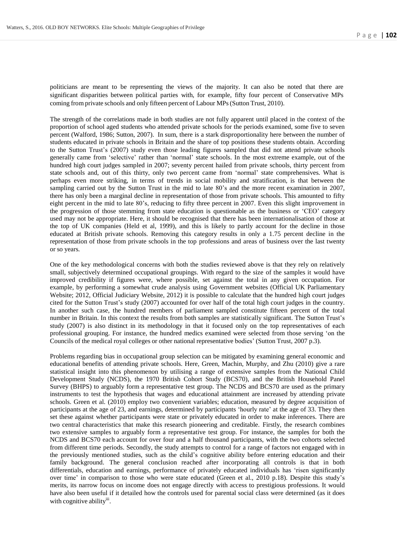politicians are meant to be representing the views of the majority. It can also be noted that there are significant disparities between political parties with, for example, fifty four percent of Conservative MPs coming from private schools and only fifteen percent of Labour MPs (Sutton Trust, 2010).

The strength of the correlations made in both studies are not fully apparent until placed in the context of the proportion of school aged students who attended private schools for the periods examined, some five to seven percent (Walford, 1986; Sutton, 2007). In sum, there is a stark disproportionality here between the number of students educated in private schools in Britain and the share of top positions these students obtain. According to the Sutton Trust's (2007) study even those leading figures sampled that did not attend private schools generally came from 'selective' rather than 'normal' state schools. In the most extreme example, out of the hundred high court judges sampled in 2007; seventy percent hailed from private schools, thirty percent from state schools and, out of this thirty, only two percent came from 'normal' state comprehensives. What is perhaps even more striking, in terms of trends in social mobility and stratification, is that between the sampling carried out by the Sutton Trust in the mid to late 80's and the more recent examination in 2007, there has only been a marginal decline in representation of those from private schools. This amounted to fifty eight percent in the mid to late 80's, reducing to fifty three percent in 2007. Even this slight improvement in the progression of those stemming from state education is questionable as the business or 'CEO' category used may not be appropriate. Here, it should be recognised that there has been internationalisation of those at the top of UK companies (Held et al, 1999), and this is likely to partly account for the decline in those educated at British private schools. Removing this category results in only a 1.75 percent decline in the representation of those from private schools in the top professions and areas of business over the last twenty or so years.

One of the key methodological concerns with both the studies reviewed above is that they rely on relatively small, subjectively determined occupational groupings. With regard to the size of the samples it would have improved credibility if figures were, where possible, set against the total in any given occupation. For example, by performing a somewhat crude analysis using Government websites (Official UK Parliamentary Website; 2012, Official Judiciary Website, 2012) it is possible to calculate that the hundred high court judges cited for the Sutton Trust's study (2007) accounted for over half of the total high court judges in the country. In another such case, the hundred members of parliament sampled constitute fifteen percent of the total number in Britain. In this context the results from both samples are statistically significant. The Sutton Trust's study (2007) is also distinct in its methodology in that it focused only on the top representatives of each professional grouping. For instance, the hundred medics examined were selected from those serving 'on the Councils of the medical royal colleges or other national representative bodies' (Sutton Trust, 2007 p.3).

Problems regarding bias in occupational group selection can be mitigated by examining general economic and educational benefits of attending private schools. Here, Green, Machin, Murphy, and Zhu (2010) give a rare statistical insight into this phenomenon by utilising a range of extensive samples from the National Child Development Study (NCDS), the 1970 British Cohort Study (BCS70), and the British Household Panel Survey (BHPS) to arguably form a representative test group. The NCDS and BCS70 are used as the primary instruments to test the hypothesis that wages and educational attainment are increased by attending private schools. Green et al. (2010) employ two convenient variables; education, measured by degree acquisition of participants at the age of 23, and earnings, determined by participants 'hourly rate' at the age of 33. They then set these against whether participants were state or privately educated in order to make inferences. There are two central characteristics that make this research pioneering and creditable. Firstly, the research combines two extensive samples to arguably form a representative test group. For instance, the samples for both the NCDS and BCS70 each account for over four and a half thousand participants, with the two cohorts selected from different time periods. Secondly, the study attempts to control for a range of factors not engaged with in the previously mentioned studies, such as the child's cognitive ability before entering education and their family background. The general conclusion reached after incorporating all controls is that in both differentials, education and earnings, performance of privately educated individuals has 'risen significantly over time' in comparison to those who were state educated (Green et al., 2010 p.18). Despite this study's merits, its narrow focus on income does not engage directly with access to prestigious professions. It would have also been useful if it detailed how the controls used for parental social class were determined (as it does with cognitive ability<sup>iii</sup>.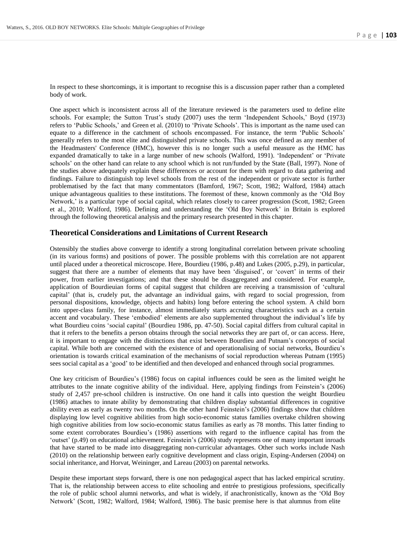In respect to these shortcomings, it is important to recognise this is a discussion paper rather than a completed body of work.

One aspect which is inconsistent across all of the literature reviewed is the parameters used to define elite schools. For example; the Sutton Trust's study (2007) uses the term 'Independent Schools,' Boyd (1973) refers to 'Public Schools,' and Green et al. (2010) to 'Private Schools'. This is important as the name used can equate to a difference in the catchment of schools encompassed. For instance, the term 'Public Schools' generally refers to the most elite and distinguished private schools. This was once defined as any member of the Headmasters' Conference (HMC), however this is no longer such a useful measure as the HMC has expanded dramatically to take in a large number of new schools (Walford, 1991). 'Independent' or 'Private schools' on the other hand can relate to any school which is not run/funded by the State (Ball, 1997). None of the studies above adequately explain these differences or account for them with regard to data gathering and findings. Failure to distinguish top level schools from the rest of the independent or private sector is further problematised by the fact that many commentators (Bamford, 1967; Scott, 1982; Walford, 1984) attach unique advantageous qualities to these institutions. The foremost of these, known commonly as the 'Old Boy Network,' is a particular type of social capital, which relates closely to career progression (Scott, 1982; Green et al., 2010; Walford, 1986). Defining and understanding the 'Old Boy Network' in Britain is explored through the following theoretical analysis and the primary research presented in this chapter.

#### **Theoretical Considerations and Limitations of Current Research**

Ostensibly the studies above converge to identify a strong longitudinal correlation between private schooling (in its various forms) and positions of power. The possible problems with this correlation are not apparent until placed under a theoretical microscope. Here, Bourdieu (1986, p.48) and Lukes (2005, p.29), in particular, suggest that there are a number of elements that may have been 'disguised', or 'covert' in terms of their power, from earlier investigations; and that these should be disaggregated and considered. For example, application of Bourdieuian forms of capital suggest that children are receiving a transmission of 'cultural capital' (that is, crudely put, the advantage an individual gains, with regard to social progression, from personal dispositions, knowledge, objects and habits) long before entering the school system. A child born into upper-class family, for instance, almost immediately starts accruing characteristics such as a certain accent and vocabulary. These 'embodied' elements are also supplemented throughout the individual's life by what Bourdieu coins 'social capital' (Bourdieu 1986, pp. 47-50). Social capital differs from cultural capital in that it refers to the benefits a person obtains through the social networks they are part of, or can access. Here, it is important to engage with the distinctions that exist between Bourdieu and Putnam's concepts of social capital. While both are concerned with the existence of and operationalising of social networks, Bourdieu's orientation is towards critical examination of the mechanisms of social reproduction whereas Putnam (1995) sees social capital as a 'good' to be identified and then developed and enhanced through social programmes.

One key criticism of Bourdieu's (1986) focus on capital influences could be seen as the limited weight he attributes to the innate cognitive ability of the individual. Here, applying findings from Feinstein's (2006) study of 2,457 pre-school children is instructive. On one hand it calls into question the weight Bourdieu (1986) attaches to innate ability by demonstrating that children display substantial differences in cognitive ability even as early as twenty two months. On the other hand Feinstein's (2006) findings show that children displaying low level cognitive abilities from high socio-economic status families overtake children showing high cognitive abilities from low socio-economic status families as early as 78 months. This latter finding to some extent corroborates Bourdieu's (1986) assertions with regard to the influence capital has from the 'outset' (p.49) on educational achievement. Feinstein's (2006) study represents one of many important inroads that have started to be made into disaggregating non-curricular advantages. Other such works include Nash (2010) on the relationship between early cognitive development and class origin, Esping-Andersen (2004) on social inheritance, and Horvat, Weininger, and Lareau (2003) on parental networks.

Despite these important steps forward, there is one non pedagogical aspect that has lacked empirical scrutiny. That is, the relationship between access to elite schooling and entrée to prestigious professions, specifically the role of public school alumni networks, and what is widely, if anachronistically, known as the 'Old Boy Network' (Scott, 1982; Walford, 1984; Walford, 1986). The basic premise here is that alumnus from elite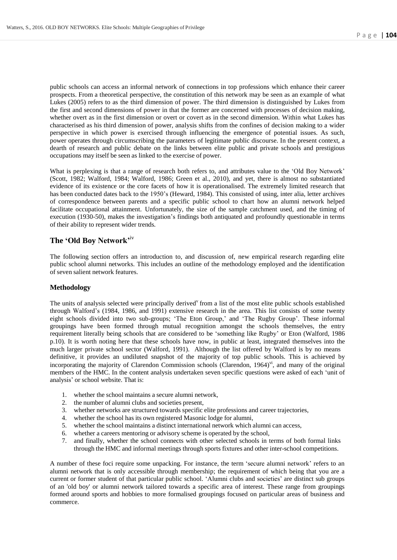public schools can access an informal network of connections in top professions which enhance their career prospects. From a theoretical perspective, the constitution of this network may be seen as an example of what Lukes (2005) refers to as the third dimension of power. The third dimension is distinguished by Lukes from the first and second dimensions of power in that the former are concerned with processes of decision making, whether overt as in the first dimension or overt or covert as in the second dimension. Within what Lukes has characterised as his third dimension of power, analysis shifts from the confines of decision making to a wider perspective in which power is exercised through influencing the emergence of potential issues. As such, power operates through circumscribing the parameters of legitimate public discourse. In the present context, a dearth of research and public debate on the links between elite public and private schools and prestigious occupations may itself be seen as linked to the exercise of power.

What is perplexing is that a range of research both refers to, and attributes value to the 'Old Boy Network' (Scott, 1982; Walford, 1984; Walford, 1986; Green et al., 2010), and yet, there is almost no substantiated evidence of its existence or the core facets of how it is operationalised. The extremely limited research that has been conducted dates back to the 1950's (Heward, 1984). This consisted of using, inter alia, letter archives of correspondence between parents and a specific public school to chart how an alumni network helped facilitate occupational attainment. Unfortunately, the size of the sample catchment used, and the timing of execution (1930-50), makes the investigation's findings both antiquated and profoundly questionable in terms of their ability to represent wider trends.

#### **The 'Old Boy Network'**iv

The following section offers an introduction to, and discussion of, new empirical research regarding elite public school alumni networks. This includes an outline of the methodology employed and the identification of seven salient network features.

#### **Methodology**

The units of analysis selected were principally derived<sup>v</sup> from a list of the most elite public schools established through Walford's (1984, 1986, and 1991) extensive research in the area. This list consists of some twenty eight schools divided into two sub-groups; 'The Eton Group,' and 'The Rugby Group'. These informal groupings have been formed through mutual recognition amongst the schools themselves, the entry requirement literally being schools that are considered to be 'something like Rugby' or Eton (Walford, 1986 p.10). It is worth noting here that these schools have now, in public at least, integrated themselves into the much larger private school sector (Walford, 1991). Although the list offered by Walford is by no means definitive, it provides an undiluted snapshot of the majority of top public schools. This is achieved by incorporating the majority of Clarendon Commission schools (Clarendon, 1964)<sup>vi</sup>, and many of the original members of the HMC. In the content analysis undertaken seven specific questions were asked of each 'unit of analysis' or school website. That is:

- 1. whether the school maintains a secure alumni network,
- 2. the number of alumni clubs and societies present,
- 3. whether networks are structured towards specific elite professions and career trajectories, 4. whether the school has its own registered Masonic lodge for alumni,
- whether the school has its own registered Masonic lodge for alumni,
- 5. whether the school maintains a distinct international network which alumni can access,
- 6. whether a careers mentoring or advisory scheme is operated by the school,
- 7. and finally, whether the school connects with other selected schools in terms of both formal links through the HMC and informal meetings through sports fixtures and other inter-school competitions.

A number of these foci require some unpacking. For instance, the term 'secure alumni network' refers to an alumni network that is only accessible through membership; the requirement of which being that you are a current or former student of that particular public school. 'Alumni clubs and societies' are distinct sub groups of an 'old boy' or alumni network tailored towards a specific area of interest. These range from groupings formed around sports and hobbies to more formalised groupings focused on particular areas of business and commerce.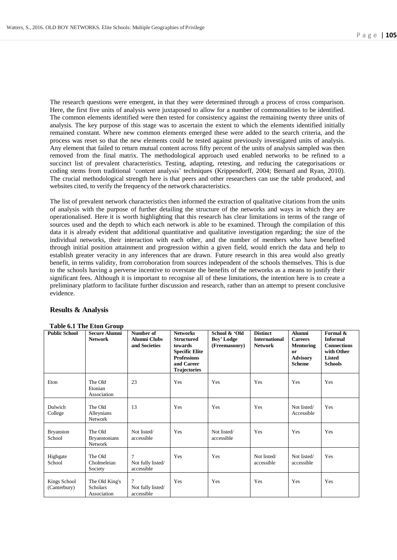The research questions were emergent, in that they were determined through a process of cross comparison. Here, the first five units of analysis were juxtaposed to allow for a number of commonalities to be identified. The common elements identified were then tested for consistency against the remaining twenty three units of analysis. The key purpose of this stage was to ascertain the extent to which the elements identified initially remained constant. Where new common elements emerged these were added to the search criteria, and the process was reset so that the new elements could be tested against previously investigated units of analysis. Any element that failed to return mutual content across fifty percent of the units of analysis sampled was then removed from the final matrix. The methodological approach used enabled networks to be refined to a succinct list of prevalent characteristics. Testing, adapting, retesting, and reducing the categorisations or coding stems from traditional 'content analysis' techniques (Krippendorff, 2004; Bernard and Ryan, 2010). The crucial methodological strength here is that peers and other researchers can use the table produced, and websites cited, to verify the frequency of the network characteristics.

The list of prevalent network characteristics then informed the extraction of qualitative citations from the units of analysis with the purpose of further detailing the structure of the networks and ways in which they are operationalised. Here it is worth highlighting that this research has clear limitations in terms of the range of sources used and the depth to which each network is able to be examined. Through the compilation of this data it is already evident that additional quantitative and qualitative investigation regarding; the size of the individual networks, their interaction with each other, and the number of members who have benefited through initial position attainment and progression within a given field, would enrich the data and help to establish greater veracity in any inferences that are drawn. Future research in this area would also greatly benefit, in terms validity, from corroboration from sources independent of the schools themselves. This is due to the schools having a perverse incentive to overstate the benefits of the networks as a means to justify their significant fees. Although it is important to recognise all of these limitations, the intention here is to create a preliminary platform to facilitate further discussion and research, rather than an attempt to present conclusive evidence.

#### **Results & Analysis**

| <b>Public School</b>         | <b>Table 6.1 The Eton Group</b><br><b>Secure Alumni</b> | Number of                                         | <b>Networks</b>                                                                                                  | School & 'Old                      | <b>Distinct</b>                        | <b>Alumni</b>                                                                | Formal &                                                                               |
|------------------------------|---------------------------------------------------------|---------------------------------------------------|------------------------------------------------------------------------------------------------------------------|------------------------------------|----------------------------------------|------------------------------------------------------------------------------|----------------------------------------------------------------------------------------|
|                              | <b>Network</b>                                          | <b>Alumni Clubs</b><br>and Societies              | <b>Structured</b><br>towards<br><b>Specific Elite</b><br><b>Professions</b><br>and Career<br><b>Trajectories</b> | <b>Boy' Lodge</b><br>(Freemasonry) | <b>International</b><br><b>Network</b> | <b>Careers</b><br><b>Mentoring</b><br>0r<br><b>Advisory</b><br><b>Scheme</b> | <b>Informal</b><br><b>Connections</b><br>with Other<br><b>Listed</b><br><b>Schools</b> |
| Eton                         | The Old<br>Etonian<br>Association                       | 23                                                | Yes                                                                                                              | Yes                                | Yes                                    | Yes                                                                          | Yes                                                                                    |
| Dulwich<br>College           | The Old<br>Alleynians<br>Network                        | 13                                                | Yes                                                                                                              | Yes                                | Yes                                    | Not listed/<br>Accessible                                                    | Yes                                                                                    |
| <b>Bryanston</b><br>School   | The Old<br><b>Bryanstonians</b><br>Network              | Not listed/<br>accessible                         | Yes                                                                                                              | Not listed/<br>accessible          | Yes                                    | Yes                                                                          | Yes                                                                                    |
| Highgate<br>School           | The Old<br>Cholmeleian<br>Society                       | $\overline{7}$<br>Not fully listed/<br>accessible | Yes                                                                                                              | Yes                                | Not listed/<br>accessible              | Not listed/<br>accessible                                                    | Yes                                                                                    |
| Kings School<br>(Canterbury) | The Old King's<br><b>Scholars</b><br>Association        | 7<br>Not fully listed/<br>accessible              | Yes                                                                                                              | Yes                                | Yes                                    | Yes                                                                          | Yes                                                                                    |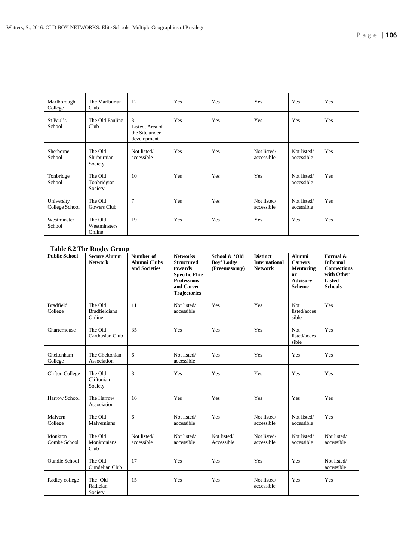| Marlborough<br>College       | The Marlburian<br>Club            | 12                                                    | Yes | Yes | Yes                       | Yes                       | Yes |
|------------------------------|-----------------------------------|-------------------------------------------------------|-----|-----|---------------------------|---------------------------|-----|
| St Paul's<br>School          | The Old Pauline<br>Club           | 3<br>Listed, Area of<br>the Site under<br>development | Yes | Yes | Yes                       | Yes                       | Yes |
| Sherborne<br>School          | The Old<br>Shirburnian<br>Society | Not listed/<br>accessible                             | Yes | Yes | Not listed/<br>accessible | Not listed/<br>accessible | Yes |
| Tonbridge<br>School          | The Old<br>Tonbridgian<br>Society | 10                                                    | Yes | Yes | Yes                       | Not listed/<br>accessible | Yes |
| University<br>College School | The Old<br>Gowers Club            | $\overline{7}$                                        | Yes | Yes | Not listed/<br>accessible | Not listed/<br>accessible | Yes |
| Westminster<br>School        | The Old<br>Westminsters<br>Online | 19                                                    | Yes | Yes | Yes                       | Yes                       | Yes |

#### **Table 6.2 The Rugby Group**

| <b>Public School</b>        | <b>Secure Alumni</b><br><b>Network</b>    | Number of<br><b>Alumni Clubs</b><br>and Societies | <b>Networks</b><br><b>Structured</b><br>towards<br><b>Specific Elite</b><br><b>Professions</b><br>and Career<br><b>Trajectories</b> | School & 'Old<br><b>Boy' Lodge</b><br>(Freemasonry) | <b>Distinct</b><br><b>International</b><br><b>Network</b> | <b>Alumni</b><br><b>Careers</b><br><b>Mentoring</b><br>or<br><b>Advisory</b><br><b>Scheme</b> | Formal &<br><b>Informal</b><br><b>Connections</b><br>with Other<br><b>Listed</b><br><b>Schools</b> |
|-----------------------------|-------------------------------------------|---------------------------------------------------|-------------------------------------------------------------------------------------------------------------------------------------|-----------------------------------------------------|-----------------------------------------------------------|-----------------------------------------------------------------------------------------------|----------------------------------------------------------------------------------------------------|
| <b>Bradfield</b><br>College | The Old<br><b>Bradfieldians</b><br>Online | 11                                                | Not listed/<br>accessible                                                                                                           | Yes                                                 | Yes                                                       | Not<br>listed/acces<br>sible                                                                  | Yes                                                                                                |
| Charterhouse                | The Old<br>Carthusian Club                | 35                                                | Yes                                                                                                                                 | Yes                                                 | Yes                                                       | Not<br>listed/acces<br>sible                                                                  | Yes                                                                                                |
| Cheltenham<br>College       | The Cheltonian<br>Association             | 6                                                 | Not listed/<br>accessible                                                                                                           | Yes                                                 | Yes                                                       | Yes                                                                                           | Yes                                                                                                |
| <b>Clifton College</b>      | The Old<br>Cliftonian<br>Society          | 8                                                 | Yes                                                                                                                                 | Yes                                                 | Yes                                                       | Yes                                                                                           | Yes                                                                                                |
| Harrow School               | The Harrow<br>Association                 | 16                                                | Yes                                                                                                                                 | Yes                                                 | Yes                                                       | Yes                                                                                           | Yes                                                                                                |
| Malvern<br>College          | The Old<br>Malvernians                    | 6                                                 | Not listed/<br>accessible                                                                                                           | Yes                                                 | Not listed/<br>accessible                                 | Not listed/<br>accessible                                                                     | Yes                                                                                                |
| Monkton<br>Combe School     | The Old<br>Monktonians<br>Club            | Not listed/<br>accessible                         | Not listed/<br>accessible                                                                                                           | Not listed/<br>Accessible                           | Not listed/<br>accessible                                 | Not listed/<br>accessible                                                                     | Not listed/<br>accessible                                                                          |
| <b>Oundle School</b>        | The Old<br><b>Oundelian Club</b>          | 17                                                | Yes                                                                                                                                 | Yes                                                 | Yes                                                       | Yes                                                                                           | Not listed/<br>accessible                                                                          |
| Radley college              | The Old<br>Radleian<br>Society            | 15                                                | Yes                                                                                                                                 | Yes                                                 | Not listed/<br>accessible                                 | Yes                                                                                           | Yes                                                                                                |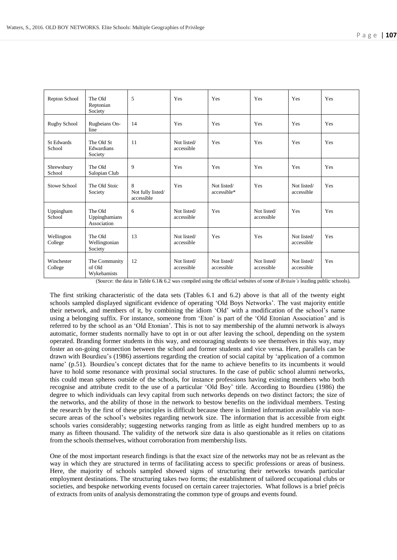| Repton School               | The Old<br>Reptonian<br>Society         | 5                                    | Yes                       | Yes                                                                                                                                                      | Yes                       | Yes                       | Yes |
|-----------------------------|-----------------------------------------|--------------------------------------|---------------------------|----------------------------------------------------------------------------------------------------------------------------------------------------------|---------------------------|---------------------------|-----|
| Rugby School                | Rugbeians On-<br>line                   | 14                                   | Yes                       | Yes                                                                                                                                                      | Yes                       | Yes                       | Yes |
| <b>St Edwards</b><br>School | The Old St<br>Edwardians<br>Society     | 11                                   | Not listed/<br>accessible | Yes                                                                                                                                                      | Yes                       | Yes                       | Yes |
| Shrewsbury<br>School        | The Old<br>Salopian Club                | 9                                    | Yes                       | Yes                                                                                                                                                      | Yes                       | Yes                       | Yes |
| Stowe School                | The Old Stoic<br>Society                | 8<br>Not fully listed/<br>accessible | Yes                       | Not listed/<br>accessible*                                                                                                                               | Yes                       | Not listed/<br>accessible | Yes |
| Uppingham<br>School         | The Old<br>Uppinghamians<br>Association | 6                                    | Not listed/<br>accessible | Yes                                                                                                                                                      | Not listed/<br>accessible | Yes                       | Yes |
| Wellington<br>College       | The Old<br>Wellingtonian<br>Society     | 13                                   | Not listed/<br>accessible | Yes                                                                                                                                                      | Yes                       | Not listed/<br>accessible | Yes |
| Winchester<br>College       | The Community<br>of Old<br>Wykehamists  | 12                                   | Not listed/<br>accessible | Not listed/<br>accessible<br>(Source: the data in Table 6.1 & 6.2 was compiled using the official websites of some of Britain's leading public schools). | Not listed/<br>accessible | Not listed/<br>accessible | Yes |

The first striking characteristic of the data sets (Tables 6.1 and 6.2) above is that all of the twenty eight

schools sampled displayed significant evidence of operating 'Old Boys Networks'. The vast majority entitle their network, and members of it, by combining the idiom 'Old' with a modification of the school's name using a belonging suffix. For instance, someone from 'Eton' is part of the 'Old Etonian Association' and is referred to by the school as an 'Old Etonian'. This is not to say membership of the alumni network is always automatic, former students normally have to opt in or out after leaving the school, depending on the system operated. Branding former students in this way, and encouraging students to see themselves in this way, may foster an on-going connection between the school and former students and vice versa. Here, parallels can be drawn with Bourdieu's (1986) assertions regarding the creation of social capital by 'application of a common name' (p.51). Bourdieu's concept dictates that for the name to achieve benefits to its incumbents it would have to hold some resonance with proximal social structures. In the case of public school alumni networks, this could mean spheres outside of the schools, for instance professions having existing members who both recognise and attribute credit to the use of a particular 'Old Boy' title. According to Bourdieu (1986) the degree to which individuals can levy capital from such networks depends on two distinct factors; the size of the networks, and the ability of those in the network to bestow benefits on the individual members. Testing the research by the first of these principles is difficult because there is limited information available via nonsecure areas of the school's websites regarding network size. The information that is accessible from eight schools varies considerably; suggesting networks ranging from as little as eight hundred members up to as many as fifteen thousand. The validity of the network size data is also questionable as it relies on citations from the schools themselves, without corroboration from membership lists.

One of the most important research findings is that the exact size of the networks may not be as relevant as the way in which they are structured in terms of facilitating access to specific professions or areas of business. Here, the majority of schools sampled showed signs of structuring their networks towards particular employment destinations. The structuring takes two forms; the establishment of tailored occupational clubs or societies, and bespoke networking events focused on certain career trajectories. What follows is a brief précis of extracts from units of analysis demonstrating the common type of groups and events found.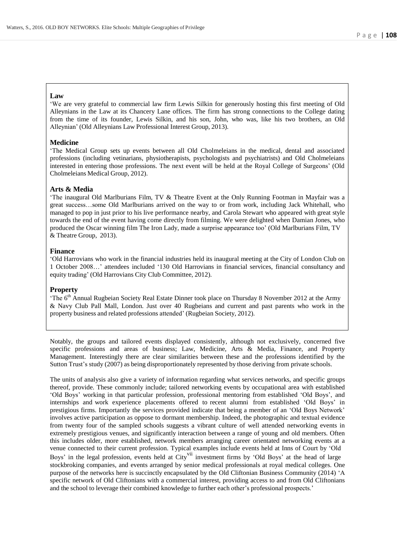#### **Law**

'We are very grateful to commercial law firm Lewis Silkin for generously hosting this first meeting of Old Alleynians in the Law at its Chancery Lane offices. The firm has strong connections to the College dating from the time of its founder, Lewis Silkin, and his son, John, who was, like his two brothers, an Old Alleynian' (Old Alleynians Law Professional Interest Group, 2013).

#### **Medicine**

'The Medical Group sets up events between all Old Cholmeleians in the medical, dental and associated professions (including vetinarians, physiotherapists, psychologists and psychiatrists) and Old Cholmeleians interested in entering those professions. The next event will be held at the Royal College of Surgeons' (Old Cholmeleians Medical Group, 2012).

#### **Arts & Media**

'The inaugural Old Marlburians Film, TV & Theatre Event at the Only Running Footman in Mayfair was a great success…some Old Marlburians arrived on the way to or from work, including Jack Whitehall, who managed to pop in just prior to his live performance nearby, and Carola Stewart who appeared with great style towards the end of the event having come directly from filming. We were delighted when Damian Jones, who produced the Oscar winning film The Iron Lady, made a surprise appearance too' (Old Marlburians Film, TV & Theatre Group, 2013).

#### **Finance**

'Old Harrovians who work in the financial industries held its inaugural meeting at the City of London Club on 1 October 2008…' attendees included '130 Old Harrovians in financial services, financial consultancy and equity trading' (Old Harrovians City Club Committee, 2012).

#### **Property**

The 6<sup>th</sup> Annual Rugbeian Society Real Estate Dinner took place on Thursday 8 November 2012 at the Army & Navy Club Pall Mall, London. Just over 40 Rugbeians and current and past parents who work in the property business and related professions attended' (Rugbeian Society, 2012).

Notably, the groups and tailored events displayed consistently, although not exclusively, concerned five specific professions and areas of business; Law, Medicine, Arts & Media, Finance, and Property Management. Interestingly there are clear similarities between these and the professions identified by the Sutton Trust's study (2007) as being disproportionately represented by those deriving from private schools.

The units of analysis also give a variety of information regarding what services networks, and specific groups thereof, provide. These commonly include; tailored networking events by occupational area with established 'Old Boys' working in that particular profession, professional mentoring from established 'Old Boys', and internships and work experience placements offered to recent alumni from established 'Old Boys' in prestigious firms. Importantly the services provided indicate that being a member of an 'Old Boys Network' involves active participation as oppose to dormant membership. Indeed, the photographic and textual evidence from twenty four of the sampled schools suggests a vibrant culture of well attended networking events in extremely prestigious venues, and significantly interaction between a range of young and old members. Often this includes older, more established, network members arranging career orientated networking events at a venue connected to their current profession. Typical examples include events held at Inns of Court by 'Old Boys' in the legal profession, events held at City<sup>vii</sup> investment firms by 'Old Boys' at the head of large stockbroking companies, and events arranged by senior medical professionals at royal medical colleges. One purpose of the networks here is succinctly encapsulated by the Old Cliftonian Business Community (2014) 'A specific network of Old Cliftonians with a commercial interest, providing access to and from Old Cliftonians and the school to leverage their combined knowledge to further each other's professional prospects.'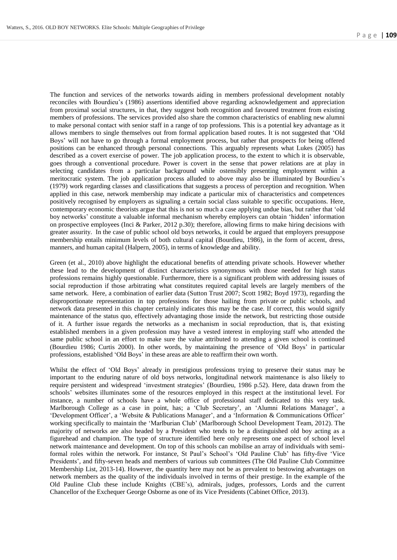The function and services of the networks towards aiding in members professional development notably reconciles with Bourdieu's (1986) assertions identified above regarding acknowledgement and appreciation from proximal social structures, in that, they suggest both recognition and favoured treatment from existing members of professions. The services provided also share the common characteristics of enabling new alumni to make personal contact with senior staff in a range of top professions. This is a potential key advantage as it allows members to single themselves out from formal application based routes. It is not suggested that 'Old Boys' will not have to go through a formal employment process, but rather that prospects for being offered positions can be enhanced through personal connections. This arguably represents what Lukes (2005) has described as a covert exercise of power. The job application process, to the extent to which it is observable, goes through a conventional procedure. Power is covert in the sense that power relations are at play in selecting candidates from a particular background while ostensibly presenting employment within a meritocratic system. The job application process alluded to above may also be illuminated by Bourdieu's (1979) work regarding classes and classifications that suggests a process of perception and recognition. When applied in this case, network membership may indicate a particular mix of characteristics and competences positively recognised by employers as signaling a certain social class suitable to specific occupations. Here, contemporary economic theorists argue that this is not so much a case applying undue bias, but rather that 'old boy networks' constitute a valuable informal mechanism whereby employers can obtain 'hidden' information on prospective employees (Inci & Parker, 2012 p.30); therefore, allowing firms to make hiring decisions with greater assurity. In the case of public school old boys networks, it could be argued that employers presuppose membership entails minimum levels of both cultural capital (Bourdieu, 1986), in the form of accent, dress, manners, and human capital (Halpern, 2005), in terms of knowledge and ability.

Green (et al., 2010) above highlight the educational benefits of attending private schools. However whether these lead to the development of distinct characteristics synonymous with those needed for high status professions remains highly questionable. Furthermore, there is a significant problem with addressing issues of social reproduction if those arbitrating what constitutes required capital levels are largely members of the same network. Here, a combination of earlier data (Sutton Trust 2007; Scott 1982; Boyd 1973), regarding the disproportionate representation in top professions for those hailing from private or public schools, and network data presented in this chapter certainly indicates this may be the case. If correct, this would signify maintenance of the status quo, effectively advantaging those inside the network, but restricting those outside of it. A further issue regards the networks as a mechanism in social reproduction, that is, that existing established members in a given profession may have a vested interest in employing staff who attended the same public school in an effort to make sure the value attributed to attending a given school is continued (Bourdieu 1986; Curtis 2000). In other words, by maintaining the presence of 'Old Boys' in particular professions, established 'Old Boys' in these areas are able to reaffirm their own worth.

Whilst the effect of 'Old Boys' already in prestigious professions trying to preserve their status may be important to the enduring nature of old boys networks, longitudinal network maintenance is also likely to require persistent and widespread 'investment strategies' (Bourdieu, 1986 p.52). Here, data drawn from the schools' websites illuminates some of the resources employed in this respect at the institutional level. For instance, a number of schools have a whole office of professional staff dedicated to this very task. Marlborough College as a case in point, has; a 'Club Secretary', an 'Alumni Relations Manager', a 'Development Officer', a 'Website & Publications Manager', and a 'Information & Communications Officer' working specifically to maintain the 'Marlburian Club' (Marlborough School Development Team, 2012). The majority of networks are also headed by a President who tends to be a distinguished old boy acting as a figurehead and champion. The type of structure identified here only represents one aspect of school level network maintenance and development. On top of this schools can mobilise an array of individuals with semiformal roles within the network. For instance, St Paul's School's 'Old Pauline Club' has fifty-five 'Vice Presidents', and fifty-seven heads and members of various sub committees (The Old Pauline Club Committee Membership List, 2013-14). However, the quantity here may not be as prevalent to bestowing advantages on network members as the quality of the individuals involved in terms of their prestige. In the example of the Old Pauline Club these include Knights (CBE's), admirals, judges, professors, Lords and the current Chancellor of the Exchequer George Osborne as one of its Vice Presidents (Cabinet Office, 2013).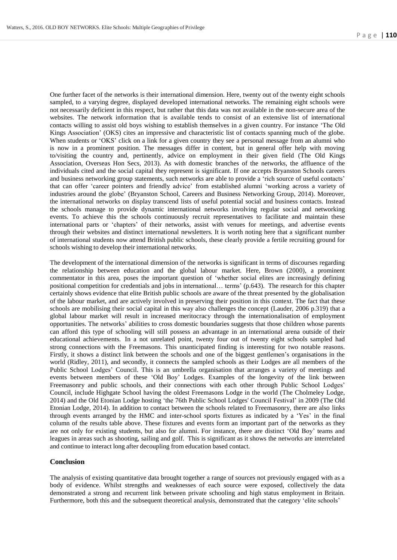One further facet of the networks is their international dimension. Here, twenty out of the twenty eight schools sampled, to a varying degree, displayed developed international networks. The remaining eight schools were not necessarily deficient in this respect, but rather that this data was not available in the non-secure area of the websites. The network information that is available tends to consist of an extensive list of international contacts willing to assist old boys wishing to establish themselves in a given country. For instance 'The Old Kings Association' (OKS) cites an impressive and characteristic list of contacts spanning much of the globe. When students or 'OKS' click on a link for a given country they see a personal message from an alumni who is now in a prominent position. The messages differ in content, but in general offer help with moving to/visiting the country and, pertinently, advice on employment in their given field (The Old Kings Association, Overseas Hon Secs, 2013). As with domestic branches of the networks, the affluence of the individuals cited and the social capital they represent is significant. If one accepts Bryanston Schools careers and business networking group statements, such networks are able to provide a 'rich source of useful contacts' that can offer 'career pointers and friendly advice' from established alumni 'working across a variety of industries around the globe' (Bryanston School, Careers and Business Networking Group, 2014). Moreover, the international networks on display transcend lists of useful potential social and business contacts. Instead the schools manage to provide dynamic international networks involving regular social and networking events. To achieve this the schools continuously recruit representatives to facilitate and maintain these international parts or 'chapters' of their networks, assist with venues for meetings, and advertise events through their websites and distinct international newsletters. It is worth noting here that a significant number of international students now attend British public schools, these clearly provide a fertile recruiting ground for schools wishing to develop their international networks.

The development of the international dimension of the networks is significant in terms of discourses regarding the relationship between education and the global labour market. Here, Brown (2000), a prominent commentator in this area, poses the important question of 'whether social elites are increasingly defining positional competition for credentials and jobs in international… terms' (p.643). The research for this chapter certainly shows evidence that elite British public schools are aware of the threat presented by the globalisation of the labour market, and are actively involved in preserving their position in this context. The fact that these schools are mobilising their social capital in this way also challenges the concept (Lauder, 2006 p.319) that a global labour market will result in increased meritocracy through the internationalisation of employment opportunities. The networks' abilities to cross domestic boundaries suggests that those children whose parents can afford this type of schooling will still possess an advantage in an international arena outside of their educational achievements. In a not unrelated point, twenty four out of twenty eight schools sampled had strong connections with the Freemasons. This unanticipated finding is interesting for two notable reasons. Firstly, it shows a distinct link between the schools and one of the biggest gentlemen's organisations in the world (Ridley, 2011), and secondly, it connects the sampled schools as their Lodges are all members of the Public School Lodges' Council. This is an umbrella organisation that arranges a variety of meetings and events between members of these 'Old Boy' Lodges. Examples of the longevity of the link between Freemasonry and public schools, and their connections with each other through Public School Lodges' Council, include Highgate School having the oldest Freemasons Lodge in the world (The Cholmeley Lodge, 2014) and the Old Etonian Lodge hosting 'the 76th Public School Lodges' Council Festival' in 2009 (The Old Etonian Lodge, 2014). In addition to contact between the schools related to Freemasonry, there are also links through events arranged by the HMC and inter-school sports fixtures as indicated by a 'Yes' in the final column of the results table above. These fixtures and events form an important part of the networks as they are not only for existing students, but also for alumni. For instance, there are distinct 'Old Boy' teams and leagues in areas such as shooting, sailing and golf. This is significant as it shows the networks are interrelated and continue to interact long after decoupling from education based contact.

#### **Conclusion**

The analysis of existing quantitative data brought together a range of sources not previously engaged with as a body of evidence. Whilst strengths and weaknesses of each source were exposed, collectively the data demonstrated a strong and recurrent link between private schooling and high status employment in Britain. Furthermore, both this and the subsequent theoretical analysis, demonstrated that the category 'elite schools'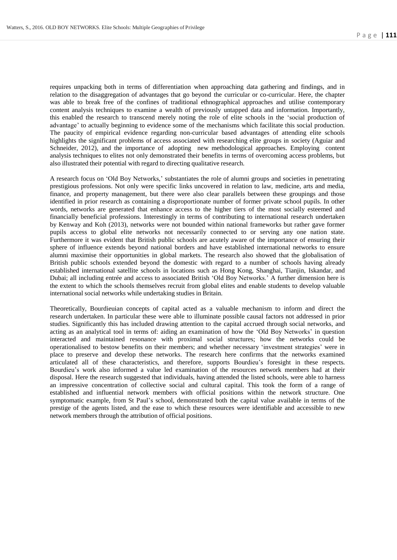requires unpacking both in terms of differentiation when approaching data gathering and findings, and in relation to the disaggregation of advantages that go beyond the curricular or co-curricular. Here, the chapter was able to break free of the confines of traditional ethnographical approaches and utilise contemporary content analysis techniques to examine a wealth of previously untapped data and information. Importantly, this enabled the research to transcend merely noting the role of elite schools in the 'social production of advantage' to actually beginning to evidence some of the mechanisms which facilitate this social production. The paucity of empirical evidence regarding non-curricular based advantages of attending elite schools highlights the significant problems of access associated with researching elite groups in society (Aguiar and Schneider, 2012), and the importance of adopting new methodological approaches. Employing content analysis techniques to elites not only demonstrated their benefits in terms of overcoming access problems, but also illustrated their potential with regard to directing qualitative research.

A research focus on 'Old Boy Networks,' substantiates the role of alumni groups and societies in penetrating prestigious professions. Not only were specific links uncovered in relation to law, medicine, arts and media, finance, and property management, but there were also clear parallels between these groupings and those identified in prior research as containing a disproportionate number of former private school pupils. In other words, networks are generated that enhance access to the higher tiers of the most socially esteemed and financially beneficial professions. Interestingly in terms of contributing to international research undertaken by Kenway and Koh (2013), networks were not bounded within national frameworks but rather gave former pupils access to global elite networks not necessarily connected to or serving any one nation state. Furthermore it was evident that British public schools are acutely aware of the importance of ensuring their sphere of influence extends beyond national borders and have established international networks to ensure alumni maximise their opportunities in global markets. The research also showed that the globalisation of British public schools extended beyond the domestic with regard to a number of schools having already established international satellite schools in locations such as Hong Kong, Shanghai, Tianjin, Iskandar, and Dubai; all including entrée and access to associated British 'Old Boy Networks.' A further dimension here is the extent to which the schools themselves recruit from global elites and enable students to develop valuable international social networks while undertaking studies in Britain.

Theoretically, Bourdieuian concepts of capital acted as a valuable mechanism to inform and direct the research undertaken. In particular these were able to illuminate possible causal factors not addressed in prior studies. Significantly this has included drawing attention to the capital accrued through social networks, and acting as an analytical tool in terms of: aiding an examination of how the 'Old Boy Networks' in question interacted and maintained resonance with proximal social structures; how the networks could be operationalised to bestow benefits on their members; and whether necessary 'investment strategies' were in place to preserve and develop these networks. The research here confirms that the networks examined articulated all of these characteristics, and therefore, supports Bourdieu's foresight in these respects. Bourdieu's work also informed a value led examination of the resources network members had at their disposal. Here the research suggested that individuals, having attended the listed schools, were able to harness an impressive concentration of collective social and cultural capital. This took the form of a range of established and influential network members with official positions within the network structure. One symptomatic example, from St Paul's school, demonstrated both the capital value available in terms of the prestige of the agents listed, and the ease to which these resources were identifiable and accessible to new network members through the attribution of official positions.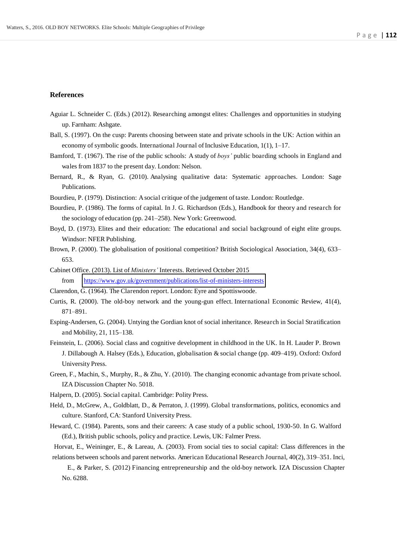#### **References**

- Aguiar L. Schneider C. (Eds.) (2012). Researching amongst elites: Challenges and opportunities in studying up. Farnham: Ashgate.
- Ball, S. (1997). On the cusp: Parents choosing between state and private schools in the UK: Action within an economy of symbolic goods. International Journal of Inclusive Education, 1(1), 1–17.
- Bamford, T. (1967). The rise of the public schools: A study of *boys'* public boarding schools in England and wales from 1837 to the present day. London: Nelson.
- Bernard, R., & Ryan, G. (2010). Analysing qualitative data: Systematic approaches. London: Sage Publications.
- Bourdieu, P. (1979). Distinction: A social critique of the judgement of taste. London: Routledge.
- Bourdieu, P. (1986). The forms of capital. In J. G. Richardson (Eds.), Handbook for theory and research for the sociology of education (pp. 241–258). New York: Greenwood.
- Boyd, D. (1973). Elites and their education: The educational and social background of eight elite groups. Windsor: NFER Publishing.
- Brown, P. (2000). The globalisation of positional competition? British Sociological Association, 34(4), 633– 653.
- Cabinet Office. (2013). List of *Ministers'* Interests. Retrieved October 2015 from <https://www.gov.uk/government/publications/list-of-ministers-interests>
- Clarendon, G. (1964). The Clarendon report. London: Eyre and Spottiswoode.
- Curtis, R. (2000). The old-boy network and the young-gun effect. International Economic Review, 41(4), 871–891.
- Esping-Andersen, G. (2004). Untying the Gordian knot of social inheritance. Research in Social Stratification and Mobility, 21, 115–138.
- Feinstein, L. (2006). Social class and cognitive development in childhood in the UK. In H. Lauder P. Brown J. Dillabough A. Halsey (Eds.), Education, globalisation & social change (pp. 409–419). Oxford: Oxford University Press.
- Green, F., Machin, S., Murphy, R., & Zhu, Y. (2010). The changing economic advantage from private school. IZA Discussion Chapter No. 5018.
- Halpern, D. (2005). Social capital. Cambridge: Polity Press.
- Held, D., McGrew, A., Goldblatt, D., & Perraton, J. (1999). Global transformations, politics, economics and culture. Stanford, CA: Stanford University Press.
- Heward, C. (1984). Parents, sons and their careers: A case study of a public school, 1930-50. In G. Walford (Ed.), British public schools, policy and practice. Lewis, UK: Falmer Press.
- Horvat, E., Weininger, E., & Lareau, A. (2003). From social ties to social capital: Class differences in the relations between schools and parent networks. American Educational Research Journal, 40(2), 319–351. Inci,

E., & Parker, S. (2012) Financing entrepreneurship and the old-boy network. IZA Discussion Chapter No. 6288.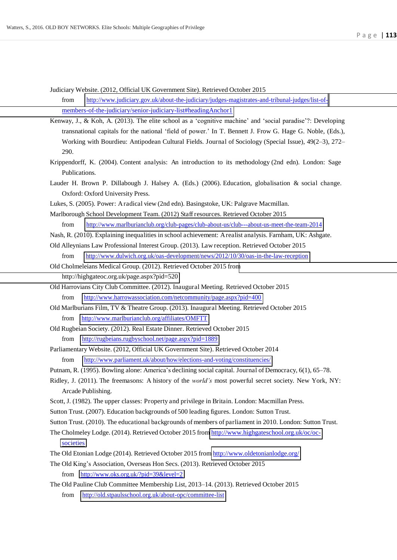Judiciary Website. (2012, Official UK Government Site). Retrieved October 2015

from [http://www.judiciary.gov.uk/about-the-judiciary/judges-magistrates-and-tribunal-judges/list-of](http://www.judiciary.gov.uk/about-the-judiciary/judges-magistrates-and-tribunal-judges/list-of-members-of-the-judiciary/senior-judiciary-list#headingAnchor1)[members-of-the-judiciary/senior-judiciary-list#headingAnchor1](http://www.judiciary.gov.uk/about-the-judiciary/judges-magistrates-and-tribunal-judges/list-of-members-of-the-judiciary/senior-judiciary-list#headingAnchor1)

Kenway, J., & Koh, A. (2013). The elite school as a 'cognitive machine' and 'social paradise'?: Developing transnational capitals for the national 'field of power.' In T. Bennett J. Frow G. Hage G. Noble, (Eds.), Working with Bourdieu: Antipodean Cultural Fields. Journal of Sociology (Special Issue), 49(2–3), 272– 290.

- Krippendorff, K. (2004). Content analysis: An introduction to its methodology (2nd edn). London: Sage Publications.
- Lauder H. Brown P. Dillabough J. Halsey A. (Eds.) (2006). Education, globalisation & social change. Oxford: Oxford University Press.
- Lukes, S. (2005). Power: A radical view (2nd edn). Basingstoke, UK: Palgrave Macmillan.
- Marlborough School Development Team. (2012) Staff resources. Retrieved October 2015 from <http://www.marlburianclub.org/club-pages/club-about-us/club---about-us-meet-the-team-2014>
- Nash, R. (2010). Explaining inequalities in school achievement: A realist analysis. Farnham, UK: Ashgate.
- Old Alleynians Law Professional Interest Group. (2013). Law reception. Retrieved October 2015 from <http://www.dulwich.org.uk/oas-development/news/2012/10/30/oas-in-the-law-reception>
- Old Cholmeleians Medical Group. (2012). Retrieved October 2015 fro[m](http://highgateoc.org.uk/page.aspx?pid=520) <http://highgateoc.org.uk/page.aspx?pid=520>
- Old Harrovians City Club Committee. (2012). Inaugural Meeting. Retrieved October 2015 from <http://www.harrowassociation.com/netcommunity/page.aspx?pid=400>
- Old Marlburians Film, TV & Theatre Group. (2013). Inaugural Meeting. Retrieved October 2015 from <http://www.marlburianclub.org/affiliates/OMFTT>
- Old Rugbeian Society. (2012). Real Estate Dinner. Retrieved October 2015 from <http://rugbeians.rugbyschool.net/page.aspx?pid=1889>
- Parliamentary Website. (2012, Official UK Government Site). Retrieved October 2014 from <http://www.parliament.uk/about/how/elections-and-voting/constituencies/>
- Putnam, R. (1995). Bowling alone: America's declining social capital. Journal of Democracy, 6(1), 65–78.
- Ridley, J. (2011). The freemasons: A history of the *world's* most powerful secret society. New York, NY: Arcade Publishing.
- Scott, J. (1982). The upper classes: Property and privilege in Britain. London: Macmillan Press.
- Sutton Trust. (2007). Education backgrounds of 500 leading figures. London: Sutton Trust.
- Sutton Trust. (2010). The educational backgrounds of members of parliament in 2010. London: Sutton Trust.
- The Cholmeley Lodge. (2014). Retrieved October 2015 fro[m http://www.highgateschool.org.uk/oc/oc](http://www.highgateschool.org.uk/oc/oc-societies)[societies](http://www.highgateschool.org.uk/oc/oc-societies)
- The Old Etonian Lodge (2014). Retrieved October 2015 from<http://www.oldetonianlodge.org/>
- The Old King's Association, Overseas Hon Secs. (2013). Retrieved October 2015 from <http://www.oks.org.uk/?pid=39&level=2>
- The Old Pauline Club Committee Membership List, 2013–14. (2013). Retrieved October 2015
	- from <http://old.stpaulsschool.org.uk/about-opc/committee-list>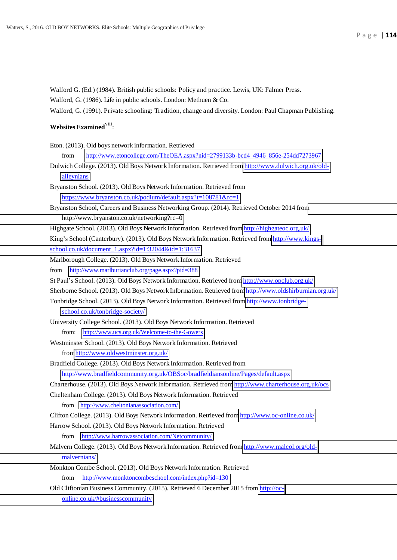Walford G. (Ed.) (1984). British public schools: Policy and practice. Lewis, UK: Falmer Press.

Walford, G. (1986). Life in public schools. London: Methuen & Co.

Walford, G. (1991). Private schooling: Tradition, change and diversity. London: Paul Chapman Publishing.

### Websites Examined<sup>viii</sup>:

Eton. (2013). Old boys network information. Retrieved

from [http://www.etoncollege.com/TheOEA.aspx?nid=2799133b-bcd4](http://www.etoncollege.com/TheOEA.aspx?nid=2799133b-bcd4-4946-856e-254dd7273967)–4946–856e-254dd7273967

- Dulwich College. (2013). Old Boys Network Information. Retrieved fro[m http://www.dulwich.org.uk/old](http://www.dulwich.org.uk/old-alleynians)[alleynians](http://www.dulwich.org.uk/old-alleynians)
- Bryanston School. (2013). Old Boys Network Information. Retrieved from <https://www.bryanston.co.uk/podium/default.aspx?t=108781&rc=1>
- Bryanston School, Careers and Business Networking Group. (2014). Retrieved October 2014 fro[m](http://www.bryanston.co.uk/networking?rc=0) <http://www.bryanston.co.uk/networking?rc=0>
- Highgate School. (2013). Old Boys Network Information. Retrieved from <http://highgateoc.org.uk/>

King's School (Canterbury). (2013). Old Boys Network Information. Retrieved from [http://www.kings](http://www.kings-school.co.uk/document_1.aspx?id=1%3A32044&id=1%3A31637)[school.co.uk/document\\_1.aspx?id=1:32044&id=1:31637](http://www.kings-school.co.uk/document_1.aspx?id=1%3A32044&id=1%3A31637)

Marlborough College. (2013). Old Boys Network Information. Retrieved

- from <http://www.marlburianclub.org/page.aspx?pid=388>
- St Paul's School. (2013). Old Boys Network Information. Retrieved fro[m http://www.opclub.org.uk/](http://www.opclub.org.uk/)
- Sherborne School. (2013). Old Boys Network Information. Retrieved fro[m http://www.oldshirburnian.org.uk/](http://www.oldshirburnian.org.uk/)
- Tonbridge School. (2013). Old Boys Network Information. Retrieved fro[m http://www.tonbridge](http://www.tonbridge-school.co.uk/tonbridge-society/)[school.co.uk/tonbridge-society/](http://www.tonbridge-school.co.uk/tonbridge-society/)
- University College School. (2013). Old Boys Network Information. Retrieved from: <http://www.ucs.org.uk/Welcome-to-the-Gowers>
- Westminster School. (2013). Old Boys Network Information. Retrieved fro[m http://www.oldwestminster.org.uk/](http://www.oldwestminster.org.uk/)
- Bradfield College. (2013). Old Boys Network Information. Retrieved from <http://www.bradfieldcommunity.org.uk/OBSoc/bradfieldiansonline/Pages/default.aspx>
- Charterhouse. (2013). Old Boys Network Information. Retrieved fro[m http://www.charterhouse.org.uk/ocs](http://www.charterhouse.org.uk/ocs)
- Cheltenham College. (2013). Old Boys Network Information. Retrieved from <http://www.cheltonianassociation.com/>

Clifton College. (2013). Old Boys Network Information. Retrieved fro[m http://www.oc-online.co.uk/](http://www.oc-online.co.uk/)

Harrow School. (2013). Old Boys Network Information. Retrieved

from <http://www.harrowassociation.com/Netcommunity/>

- Malvern College. (2013). Old Boys Network Information. Retrieved fro[m http://www.malcol.org/old](http://www.malcol.org/old-malvernians/)[malvernians/](http://www.malcol.org/old-malvernians/)
- Monkton Combe School. (2013). Old Boys Network Information. Retrieved from <http://www.monktoncombeschool.com/index.php?id=130>
- Old Cliftonian Business Community. (2015). Retrieved 6 December 2015 from [http://oc](http://oc-online.co.uk/#businesscommunity)[online.co.uk/#businesscommunity](http://oc-online.co.uk/#businesscommunity)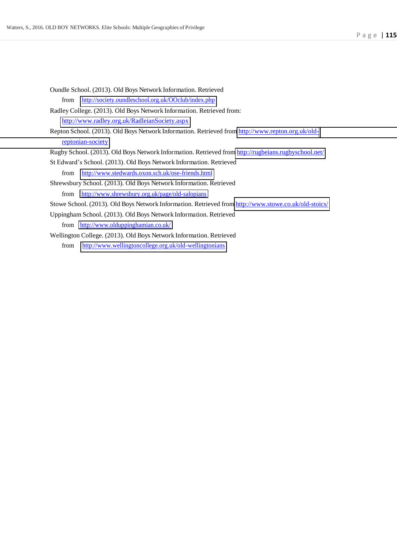Oundle School. (2013). Old Boys Network Information. Retrieved

from <http://society.oundleschool.org.uk/OOclub/index.php>

- Radley College. (2013). Old Boys Network Information. Retrieved from: <http://www.radley.org.uk/RadleianSociety.aspx>
- Repton School. (2013). Old Boys Network Information. Retrieved fro[m http://www.repton.org.uk/old](http://www.repton.org.uk/old-reptonian-society)[reptonian-society](http://www.repton.org.uk/old-reptonian-society)
- Rugby School. (2013). Old Boys Network Information. Retrieved from<http://rugbeians.rugbyschool.net/>
- St Edward's School. (2013). Old Boys Network Information. Retrieved
- from <http://www.stedwards.oxon.sch.uk/ose-friends.html> Shrewsbury School. (2013). Old Boys Network Information. Retrieved
- from <http://www.shrewsbury.org.uk/page/old-salopians>
- Stowe School. (2013). Old Boys Network Information. Retrieved fro[m http://www.stowe.co.uk/old-stoics/](http://www.stowe.co.uk/old-stoics/)
- Uppingham School. (2013). Old Boys Network Information. Retrieved

from <http://www.olduppinghamian.co.uk/>

Wellington College. (2013). Old Boys Network Information. Retrieved from <http://www.wellingtoncollege.org.uk/old-wellingtonians>